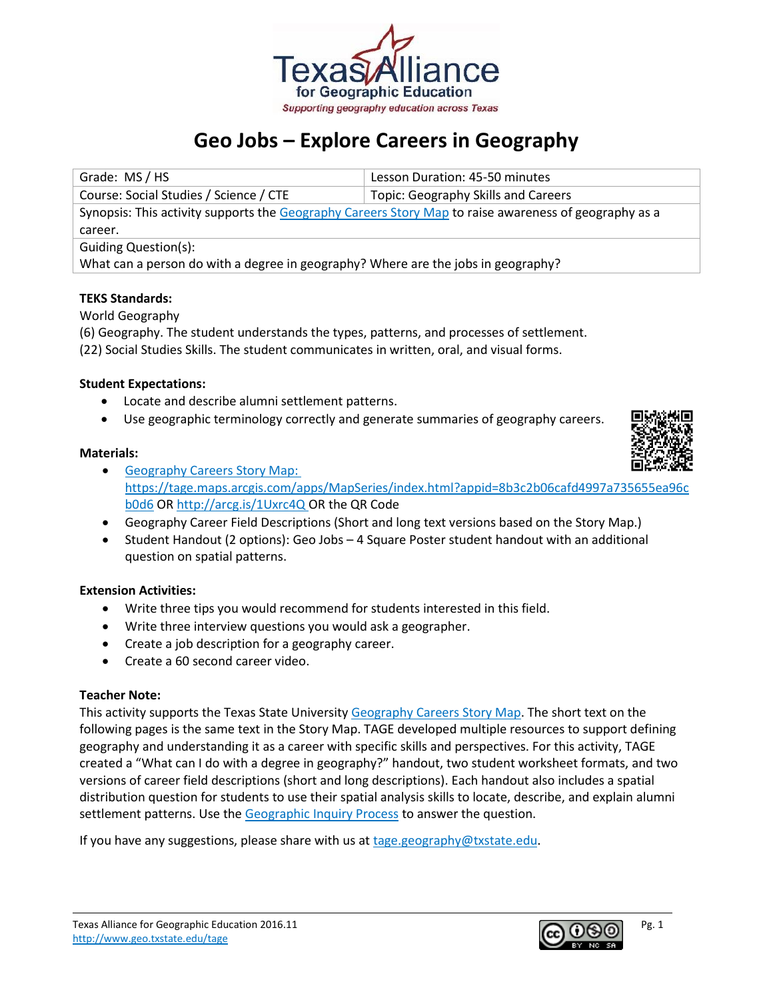

## **Geo Jobs – Explore Careers in Geography**

| Grade: MS / HS                                                                                        | Lesson Duration: 45-50 minutes      |  |  |  |  |
|-------------------------------------------------------------------------------------------------------|-------------------------------------|--|--|--|--|
| Course: Social Studies / Science / CTE                                                                | Topic: Geography Skills and Careers |  |  |  |  |
| Synopsis: This activity supports the Geography Careers Story Map to raise awareness of geography as a |                                     |  |  |  |  |
| career.                                                                                               |                                     |  |  |  |  |
| Guiding Question(s):                                                                                  |                                     |  |  |  |  |
| What can a person do with a degree in geography? Where are the jobs in geography?                     |                                     |  |  |  |  |

#### **TEKS Standards:**

World Geography

(6) Geography. The student understands the types, patterns, and processes of settlement. (22) Social Studies Skills. The student communicates in written, oral, and visual forms.

#### **Student Expectations:**

- Locate and describe alumni settlement patterns.
- Use geographic terminology correctly and generate summaries of geography careers.

#### **Materials:**



- **[Geography Careers Story Map:](https://tage.maps.arcgis.com/apps/MapSeries/index.html?appid=8b3c2b06cafd4997a735655ea96cb0d6)** [https://tage.maps.arcgis.com/apps/MapSeries/index.html?appid=8b3c2b06cafd4997a735655ea96c](https://tage.maps.arcgis.com/apps/MapSeries/index.html?appid=8b3c2b06cafd4997a735655ea96cb0d6) [b0d6](https://tage.maps.arcgis.com/apps/MapSeries/index.html?appid=8b3c2b06cafd4997a735655ea96cb0d6) OR<http://arcg.is/1Uxrc4Q> OR the QR Code
- Geography Career Field Descriptions (Short and long text versions based on the Story Map.)
- Student Handout (2 options): Geo Jobs 4 Square Poster student handout with an additional question on spatial patterns.

#### **Extension Activities:**

- Write three tips you would recommend for students interested in this field.
- Write three interview questions you would ask a geographer.
- Create a job description for a geography career.
- Create a 60 second career video.

#### **Teacher Note:**

This activity supports the Texas State University [Geography Careers Story Map.](https://tage.maps.arcgis.com/apps/MapSeries/index.html?appid=8b3c2b06cafd4997a735655ea96cb0d6) The short text on the following pages is the same text in the Story Map. TAGE developed multiple resources to support defining geography and understanding it as a career with specific skills and perspectives. For this activity, TAGE created a "What can I do with a degree in geography?" handout, two student worksheet formats, and two versions of career field descriptions (short and long descriptions). Each handout also includes a spatial distribution question for students to use their spatial analysis skills to locate, describe, and explain alumni settlement patterns. Use the [Geographic Inquiry Process](http://edcommunity.esri.com/~/media/Files/EdCommunity/Lesson%20Files/g/Geographic_Inquiry_Process.pdf) to answer the question.

If you have any suggestions, please share with us a[t tage.geography@txstate.edu.](mailto:tage.geography@txstate.edu)

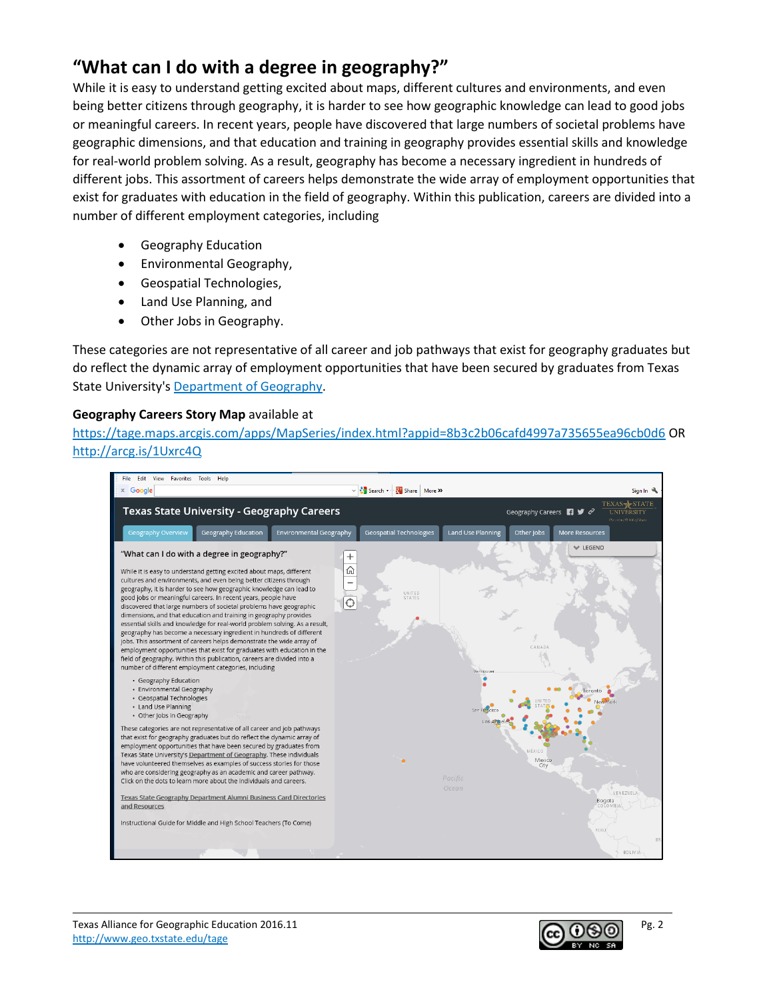## **"What can I do with a degree in geography?"**

While it is easy to understand getting excited about maps, different cultures and environments, and even being better citizens through geography, it is harder to see how geographic knowledge can lead to good jobs or meaningful careers. In recent years, people have discovered that large numbers of societal problems have geographic dimensions, and that education and training in geography provides essential skills and knowledge for real-world problem solving. As a result, geography has become a necessary ingredient in hundreds of different jobs. This assortment of careers helps demonstrate the wide array of employment opportunities that exist for graduates with education in the field of geography. Within this publication, careers are divided into a number of different employment categories, including

- **•** Geography Education
- Environmental Geography,
- Geospatial Technologies,
- Land Use Planning, and
- Other Jobs in Geography.

These categories are not representative of all career and job pathways that exist for geography graduates but do reflect the dynamic array of employment opportunities that have been secured by graduates from Texas State University'[s Department of Geography.](http://geo.txstate.edu/)

#### **Geography Careers Story Map** available at

<https://tage.maps.arcgis.com/apps/MapSeries/index.html?appid=8b3c2b06cafd4997a735655ea96cb0d6> OR <http://arcg.is/1Uxrc4Q>



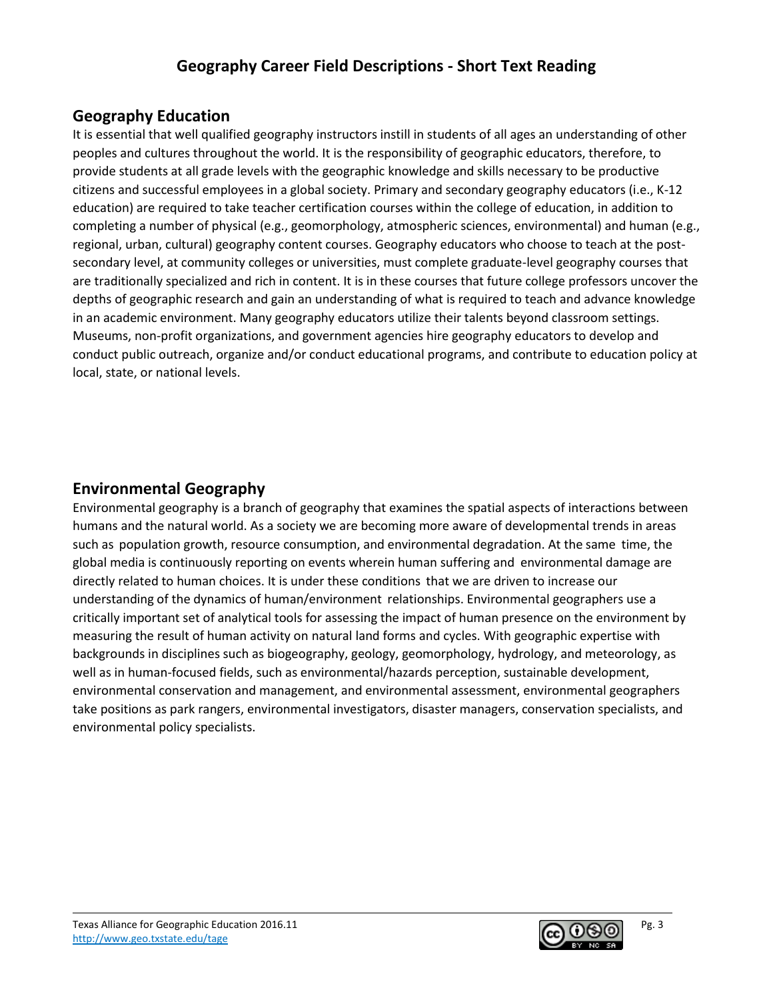### **Geography Career Field Descriptions - Short Text Reading**

#### **Geography Education**

It is essential that well qualified geography instructors instill in students of all ages an understanding of other peoples and cultures throughout the world. It is the responsibility of geographic educators, therefore, to provide students at all grade levels with the geographic knowledge and skills necessary to be productive citizens and successful employees in a global society. Primary and secondary geography educators (i.e., K-12 education) are required to take teacher certification courses within the college of education, in addition to completing a number of physical (e.g., geomorphology, atmospheric sciences, environmental) and human (e.g., regional, urban, cultural) geography content courses. Geography educators who choose to teach at the postsecondary level, at community colleges or universities, must complete graduate-level geography courses that are traditionally specialized and rich in content. It is in these courses that future college professors uncover the depths of geographic research and gain an understanding of what is required to teach and advance knowledge in an academic environment. Many geography educators utilize their talents beyond classroom settings. Museums, non-profit organizations, and government agencies hire geography educators to develop and conduct public outreach, organize and/or conduct educational programs, and contribute to education policy at local, state, or national levels.

#### **Environmental Geography**

Environmental geography is a branch of geography that examines the spatial aspects of interactions between humans and the natural world. As a society we are becoming more aware of developmental trends in areas such as population growth, resource consumption, and environmental degradation. At the same time, the global media is continuously reporting on events wherein human suffering and environmental damage are directly related to human choices. It is under these conditions that we are driven to increase our understanding of the dynamics of human/environment relationships. Environmental geographers use a critically important set of analytical tools for assessing the impact of human presence on the environment by measuring the result of human activity on natural land forms and cycles. With geographic expertise with backgrounds in disciplines such as biogeography, geology, geomorphology, hydrology, and meteorology, as well as in human-focused fields, such as environmental/hazards perception, sustainable development, environmental conservation and management, and environmental assessment, environmental geographers take positions as park rangers, environmental investigators, disaster managers, conservation specialists, and environmental policy specialists.

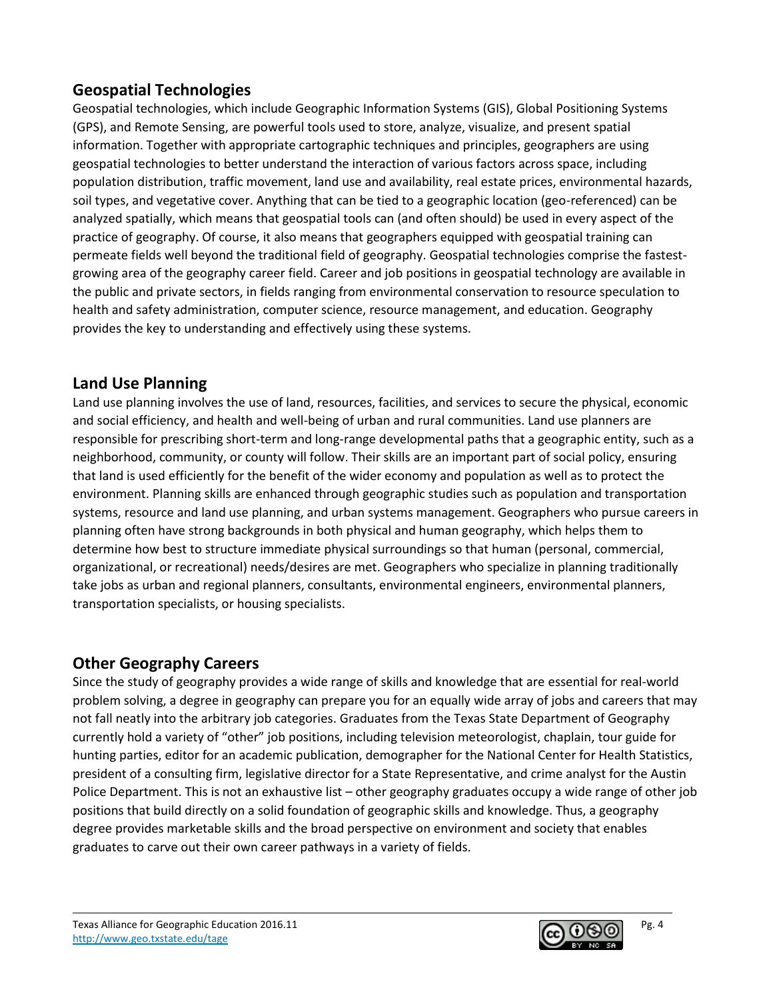### **Geospatial Technologies**

Geospatial technologies, which include Geographic Information Systems (GIS), Global Positioning Systems (GPS), and Remote Sensing, are powerful tools used to store, analyze, visualize, and present spatial information. Together with appropriate cartographic techniques and principles, geographers are using geospatial technologies to better understand the interaction of various factors across space, including population distribution, traffic movement, land use and availability, real estate prices, environmental hazards, soil types, and vegetative cover. Anything that can be tied to a geographic location (geo-referenced) can be analyzed spatially, which means that geospatial tools can (and often should) be used in every aspect of the practice of geography. Of course, it also means that geographers equipped with geospatial training can permeate fields well beyond the traditional field of geography. Geospatial technologies comprise the fastestgrowing area of the geography career field. Career and job positions in geospatial technology are available in the public and private sectors, in fields ranging from environmental conservation to resource speculation to health and safety administration, computer science, resource management, and education. Geography provides the key to understanding and effectively using these systems.

#### **Land Use Planning**

Land use planning involves the use of land, resources, facilities, and services to secure the physical, economic and social efficiency, and health and well-being of urban and rural communities. Land use planners are responsible for prescribing short-term and long-range developmental paths that a geographic entity, such as a neighborhood, community, or county will follow. Their skills are an important part of social policy, ensuring that land is used efficiently for the benefit of the wider economy and population as well as to protect the environment. Planning skills are enhanced through geographic studies such as population and transportation systems, resource and land use planning, and urban systems management. Geographers who pursue careers in planning often have strong backgrounds in both physical and human geography, which helps them to determine how best to structure immediate physical surroundings so that human (personal, commercial, organizational, or recreational) needs/desires are met. Geographers who specialize in planning traditionally take jobs as urban and regional planners, consultants, environmental engineers, environmental planners, transportation specialists, or housing specialists.

#### **Other Geography Careers**

Since the study of geography provides a wide range of skills and knowledge that are essential for real-world problem solving, a degree in geography can prepare you for an equally wide array of jobs and careers that may not fall neatly into the arbitrary job categories. Graduates from the Texas State Department of Geography currently hold a variety of "other" job positions, including television meteorologist, chaplain, tour guide for hunting parties, editor for an academic publication, demographer for the National Center for Health Statistics, president of a consulting firm, legislative director for a State Representative, and crime analyst for the Austin Police Department. This is not an exhaustive list – other geography graduates occupy a wide range of other job positions that build directly on a solid foundation of geographic skills and knowledge. Thus, a geography degree provides marketable skills and the broad perspective on environment and society that enables graduates to carve out their own career pathways in a variety of fields.

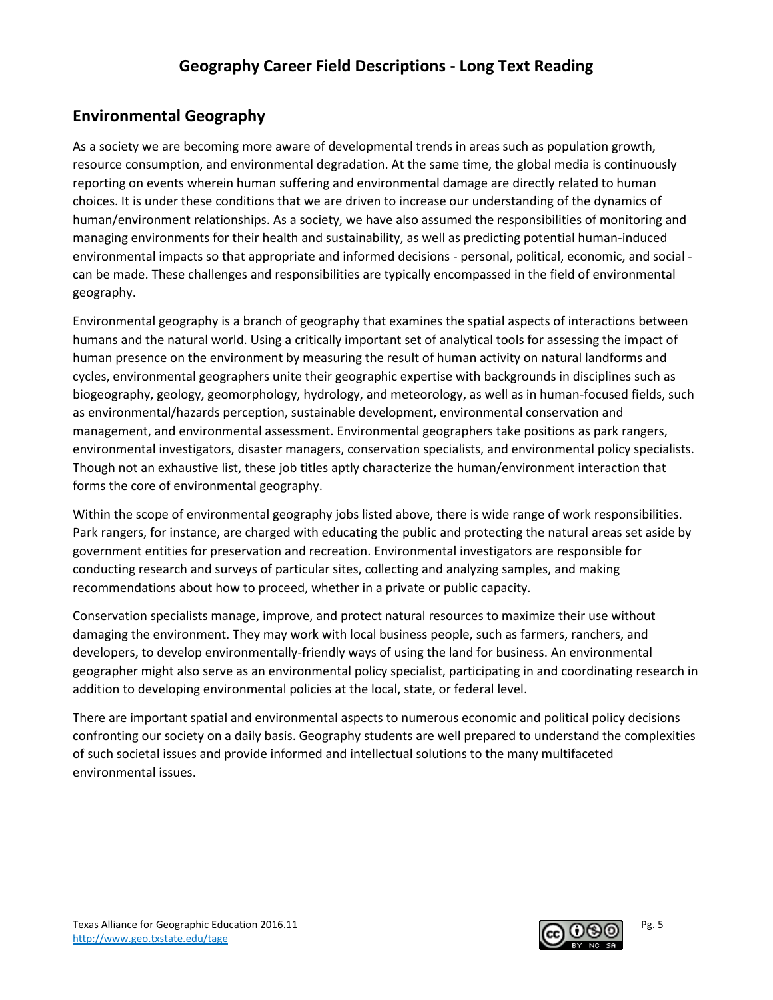### **Geography Career Field Descriptions - Long Text Reading**

#### **Environmental Geography**

As a society we are becoming more aware of developmental trends in areas such as population growth, resource consumption, and environmental degradation. At the same time, the global media is continuously reporting on events wherein human suffering and environmental damage are directly related to human choices. It is under these conditions that we are driven to increase our understanding of the dynamics of human/environment relationships. As a society, we have also assumed the responsibilities of monitoring and managing environments for their health and sustainability, as well as predicting potential human-induced environmental impacts so that appropriate and informed decisions - personal, political, economic, and social can be made. These challenges and responsibilities are typically encompassed in the field of environmental geography.

Environmental geography is a branch of geography that examines the spatial aspects of interactions between humans and the natural world. Using a critically important set of analytical tools for assessing the impact of human presence on the environment by measuring the result of human activity on natural landforms and cycles, environmental geographers unite their geographic expertise with backgrounds in disciplines such as biogeography, geology, geomorphology, hydrology, and meteorology, as well as in human-focused fields, such as environmental/hazards perception, sustainable development, environmental conservation and management, and environmental assessment. Environmental geographers take positions as park rangers, environmental investigators, disaster managers, conservation specialists, and environmental policy specialists. Though not an exhaustive list, these job titles aptly characterize the human/environment interaction that forms the core of environmental geography.

Within the scope of environmental geography jobs listed above, there is wide range of work responsibilities. Park rangers, for instance, are charged with educating the public and protecting the natural areas set aside by government entities for preservation and recreation. Environmental investigators are responsible for conducting research and surveys of particular sites, collecting and analyzing samples, and making recommendations about how to proceed, whether in a private or public capacity.

Conservation specialists manage, improve, and protect natural resources to maximize their use without damaging the environment. They may work with local business people, such as farmers, ranchers, and developers, to develop environmentally-friendly ways of using the land for business. An environmental geographer might also serve as an environmental policy specialist, participating in and coordinating research in addition to developing environmental policies at the local, state, or federal level.

There are important spatial and environmental aspects to numerous economic and political policy decisions confronting our society on a daily basis. Geography students are well prepared to understand the complexities of such societal issues and provide informed and intellectual solutions to the many multifaceted environmental issues.

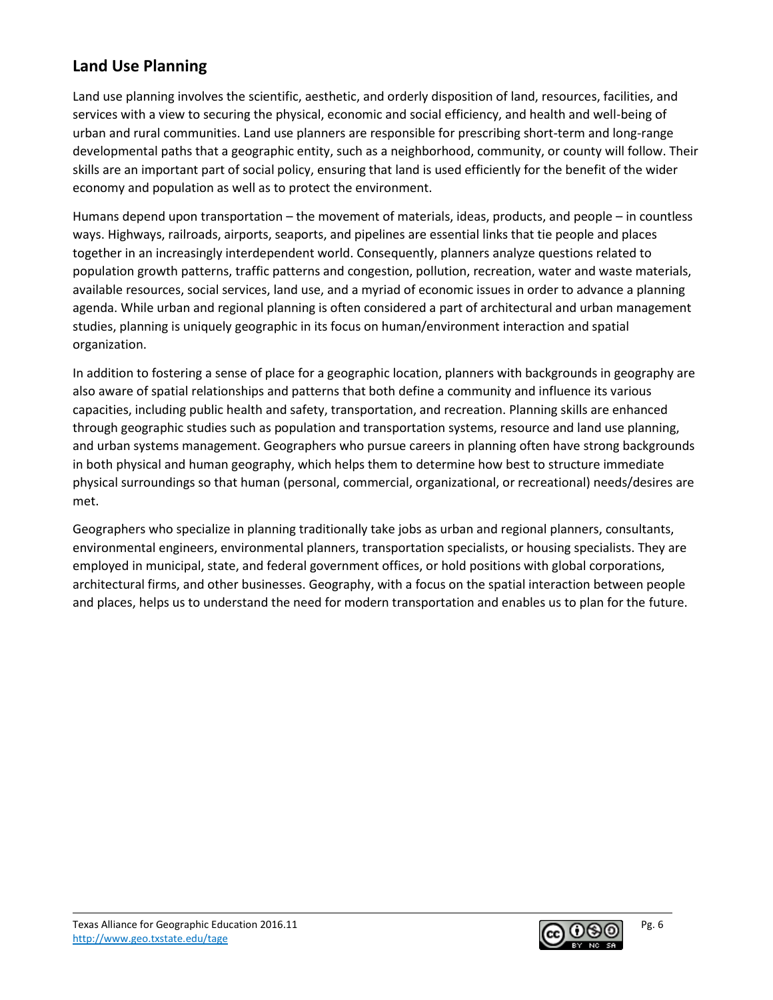## **Land Use Planning**

Land use planning involves the scientific, aesthetic, and orderly disposition of land, resources, facilities, and services with a view to securing the physical, economic and social efficiency, and health and well-being of urban and rural communities. Land use planners are responsible for prescribing short-term and long-range developmental paths that a geographic entity, such as a neighborhood, community, or county will follow. Their skills are an important part of social policy, ensuring that land is used efficiently for the benefit of the wider economy and population as well as to protect the environment.

Humans depend upon transportation – the movement of materials, ideas, products, and people – in countless ways. Highways, railroads, airports, seaports, and pipelines are essential links that tie people and places together in an increasingly interdependent world. Consequently, planners analyze questions related to population growth patterns, traffic patterns and congestion, pollution, recreation, water and waste materials, available resources, social services, land use, and a myriad of economic issues in order to advance a planning agenda. While urban and regional planning is often considered a part of architectural and urban management studies, planning is uniquely geographic in its focus on human/environment interaction and spatial organization.

In addition to fostering a sense of place for a geographic location, planners with backgrounds in geography are also aware of spatial relationships and patterns that both define a community and influence its various capacities, including public health and safety, transportation, and recreation. Planning skills are enhanced through geographic studies such as population and transportation systems, resource and land use planning, and urban systems management. Geographers who pursue careers in planning often have strong backgrounds in both physical and human geography, which helps them to determine how best to structure immediate physical surroundings so that human (personal, commercial, organizational, or recreational) needs/desires are met.

Geographers who specialize in planning traditionally take jobs as urban and regional planners, consultants, environmental engineers, environmental planners, transportation specialists, or housing specialists. They are employed in municipal, state, and federal government offices, or hold positions with global corporations, architectural firms, and other businesses. Geography, with a focus on the spatial interaction between people and places, helps us to understand the need for modern transportation and enables us to plan for the future.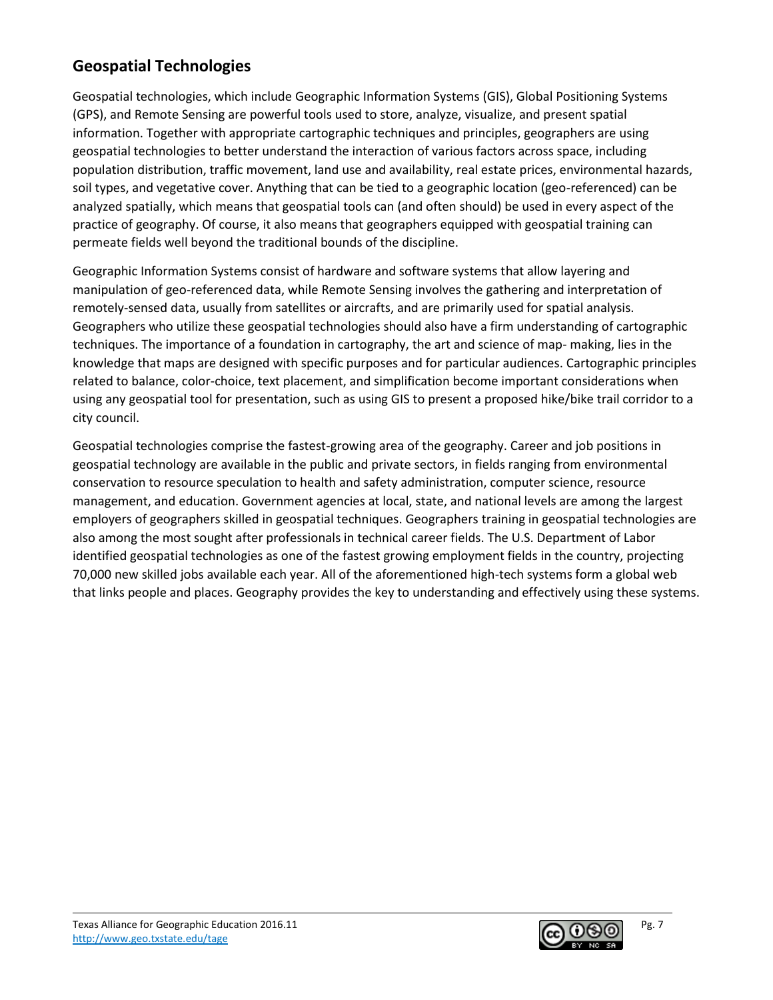## **Geospatial Technologies**

Geospatial technologies, which include Geographic Information Systems (GIS), Global Positioning Systems (GPS), and Remote Sensing are powerful tools used to store, analyze, visualize, and present spatial information. Together with appropriate cartographic techniques and principles, geographers are using geospatial technologies to better understand the interaction of various factors across space, including population distribution, traffic movement, land use and availability, real estate prices, environmental hazards, soil types, and vegetative cover. Anything that can be tied to a geographic location (geo-referenced) can be analyzed spatially, which means that geospatial tools can (and often should) be used in every aspect of the practice of geography. Of course, it also means that geographers equipped with geospatial training can permeate fields well beyond the traditional bounds of the discipline.

Geographic Information Systems consist of hardware and software systems that allow layering and manipulation of geo-referenced data, while Remote Sensing involves the gathering and interpretation of remotely-sensed data, usually from satellites or aircrafts, and are primarily used for spatial analysis. Geographers who utilize these geospatial technologies should also have a firm understanding of cartographic techniques. The importance of a foundation in cartography, the art and science of map- making, lies in the knowledge that maps are designed with specific purposes and for particular audiences. Cartographic principles related to balance, color-choice, text placement, and simplification become important considerations when using any geospatial tool for presentation, such as using GIS to present a proposed hike/bike trail corridor to a city council.

Geospatial technologies comprise the fastest-growing area of the geography. Career and job positions in geospatial technology are available in the public and private sectors, in fields ranging from environmental conservation to resource speculation to health and safety administration, computer science, resource management, and education. Government agencies at local, state, and national levels are among the largest employers of geographers skilled in geospatial techniques. Geographers training in geospatial technologies are also among the most sought after professionals in technical career fields. The U.S. Department of Labor identified geospatial technologies as one of the fastest growing employment fields in the country, projecting 70,000 new skilled jobs available each year. All of the aforementioned high-tech systems form a global web that links people and places. Geography provides the key to understanding and effectively using these systems.

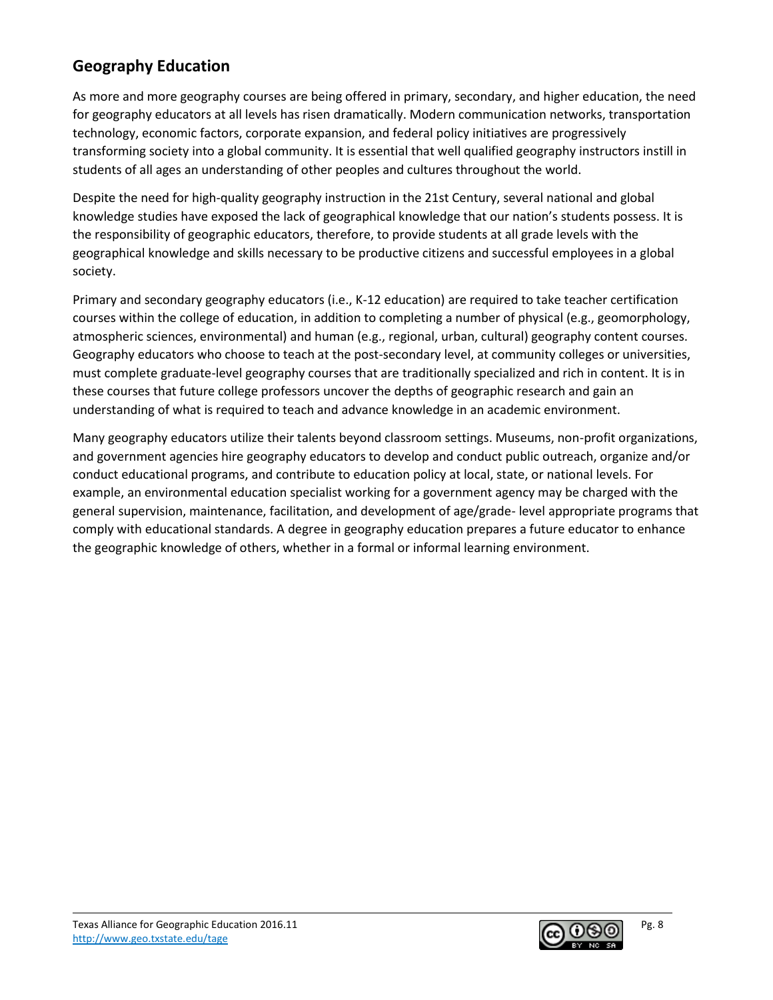## **Geography Education**

As more and more geography courses are being offered in primary, secondary, and higher education, the need for geography educators at all levels has risen dramatically. Modern communication networks, transportation technology, economic factors, corporate expansion, and federal policy initiatives are progressively transforming society into a global community. It is essential that well qualified geography instructors instill in students of all ages an understanding of other peoples and cultures throughout the world.

Despite the need for high-quality geography instruction in the 21st Century, several national and global knowledge studies have exposed the lack of geographical knowledge that our nation's students possess. It is the responsibility of geographic educators, therefore, to provide students at all grade levels with the geographical knowledge and skills necessary to be productive citizens and successful employees in a global society.

Primary and secondary geography educators (i.e., K-12 education) are required to take teacher certification courses within the college of education, in addition to completing a number of physical (e.g., geomorphology, atmospheric sciences, environmental) and human (e.g., regional, urban, cultural) geography content courses. Geography educators who choose to teach at the post-secondary level, at community colleges or universities, must complete graduate-level geography courses that are traditionally specialized and rich in content. It is in these courses that future college professors uncover the depths of geographic research and gain an understanding of what is required to teach and advance knowledge in an academic environment.

Many geography educators utilize their talents beyond classroom settings. Museums, non-profit organizations, and government agencies hire geography educators to develop and conduct public outreach, organize and/or conduct educational programs, and contribute to education policy at local, state, or national levels. For example, an environmental education specialist working for a government agency may be charged with the general supervision, maintenance, facilitation, and development of age/grade- level appropriate programs that comply with educational standards. A degree in geography education prepares a future educator to enhance the geographic knowledge of others, whether in a formal or informal learning environment.

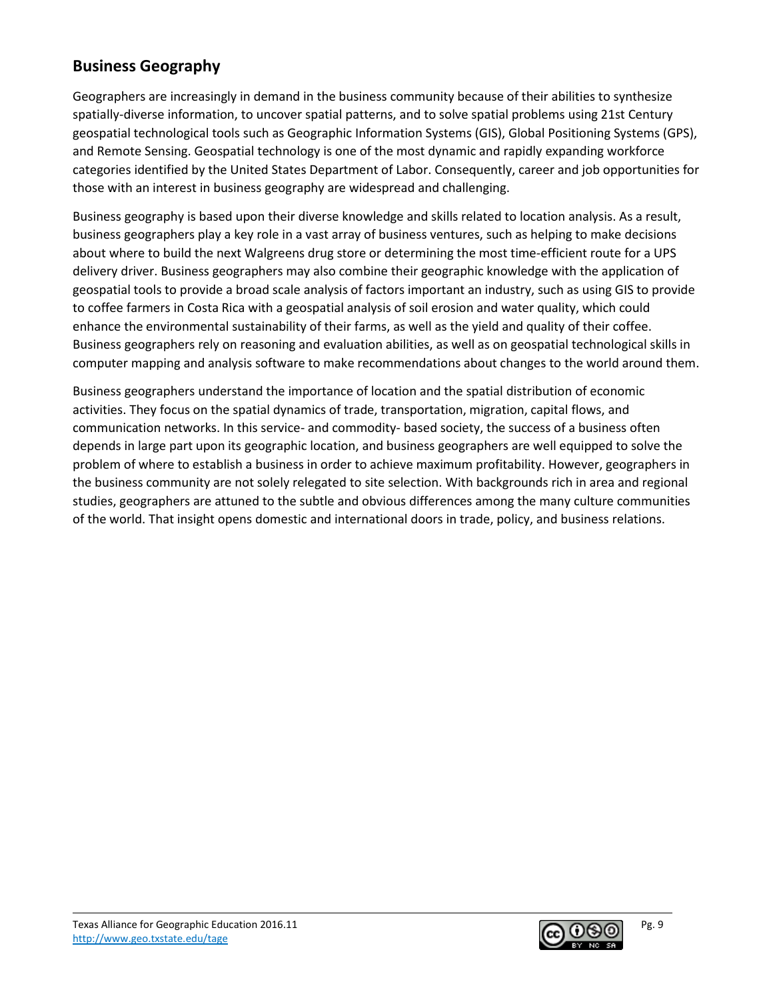### **Business Geography**

Geographers are increasingly in demand in the business community because of their abilities to synthesize spatially-diverse information, to uncover spatial patterns, and to solve spatial problems using 21st Century geospatial technological tools such as Geographic Information Systems (GIS), Global Positioning Systems (GPS), and Remote Sensing. Geospatial technology is one of the most dynamic and rapidly expanding workforce categories identified by the United States Department of Labor. Consequently, career and job opportunities for those with an interest in business geography are widespread and challenging.

Business geography is based upon their diverse knowledge and skills related to location analysis. As a result, business geographers play a key role in a vast array of business ventures, such as helping to make decisions about where to build the next Walgreens drug store or determining the most time-efficient route for a UPS delivery driver. Business geographers may also combine their geographic knowledge with the application of geospatial tools to provide a broad scale analysis of factors important an industry, such as using GIS to provide to coffee farmers in Costa Rica with a geospatial analysis of soil erosion and water quality, which could enhance the environmental sustainability of their farms, as well as the yield and quality of their coffee. Business geographers rely on reasoning and evaluation abilities, as well as on geospatial technological skills in computer mapping and analysis software to make recommendations about changes to the world around them.

Business geographers understand the importance of location and the spatial distribution of economic activities. They focus on the spatial dynamics of trade, transportation, migration, capital flows, and communication networks. In this service- and commodity- based society, the success of a business often depends in large part upon its geographic location, and business geographers are well equipped to solve the problem of where to establish a business in order to achieve maximum profitability. However, geographers in the business community are not solely relegated to site selection. With backgrounds rich in area and regional studies, geographers are attuned to the subtle and obvious differences among the many culture communities of the world. That insight opens domestic and international doors in trade, policy, and business relations.

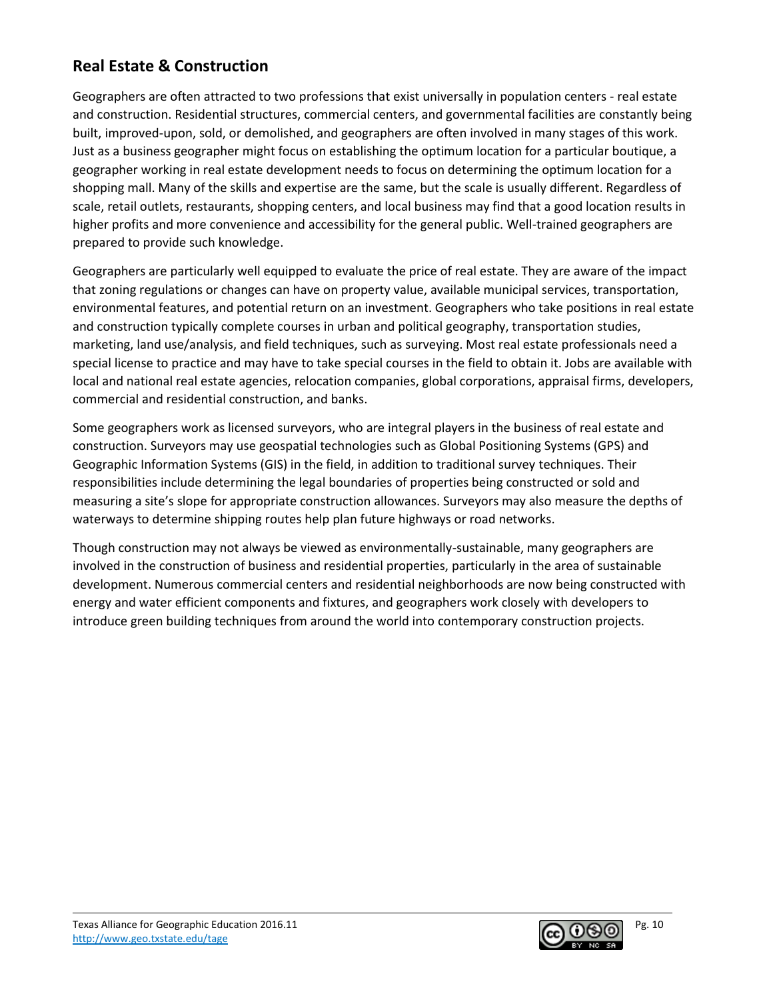### **Real Estate & Construction**

Geographers are often attracted to two professions that exist universally in population centers - real estate and construction. Residential structures, commercial centers, and governmental facilities are constantly being built, improved-upon, sold, or demolished, and geographers are often involved in many stages of this work. Just as a business geographer might focus on establishing the optimum location for a particular boutique, a geographer working in real estate development needs to focus on determining the optimum location for a shopping mall. Many of the skills and expertise are the same, but the scale is usually different. Regardless of scale, retail outlets, restaurants, shopping centers, and local business may find that a good location results in higher profits and more convenience and accessibility for the general public. Well-trained geographers are prepared to provide such knowledge.

Geographers are particularly well equipped to evaluate the price of real estate. They are aware of the impact that zoning regulations or changes can have on property value, available municipal services, transportation, environmental features, and potential return on an investment. Geographers who take positions in real estate and construction typically complete courses in urban and political geography, transportation studies, marketing, land use/analysis, and field techniques, such as surveying. Most real estate professionals need a special license to practice and may have to take special courses in the field to obtain it. Jobs are available with local and national real estate agencies, relocation companies, global corporations, appraisal firms, developers, commercial and residential construction, and banks.

Some geographers work as licensed surveyors, who are integral players in the business of real estate and construction. Surveyors may use geospatial technologies such as Global Positioning Systems (GPS) and Geographic Information Systems (GIS) in the field, in addition to traditional survey techniques. Their responsibilities include determining the legal boundaries of properties being constructed or sold and measuring a site's slope for appropriate construction allowances. Surveyors may also measure the depths of waterways to determine shipping routes help plan future highways or road networks.

Though construction may not always be viewed as environmentally-sustainable, many geographers are involved in the construction of business and residential properties, particularly in the area of sustainable development. Numerous commercial centers and residential neighborhoods are now being constructed with energy and water efficient components and fixtures, and geographers work closely with developers to introduce green building techniques from around the world into contemporary construction projects.

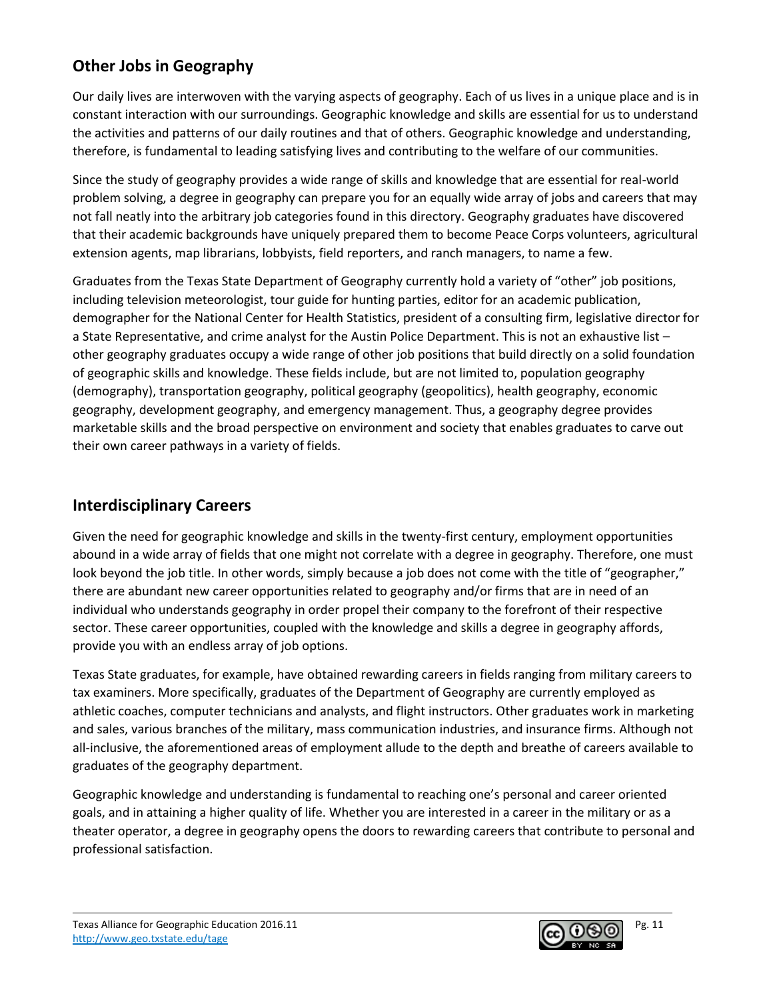## **Other Jobs in Geography**

Our daily lives are interwoven with the varying aspects of geography. Each of us lives in a unique place and is in constant interaction with our surroundings. Geographic knowledge and skills are essential for us to understand the activities and patterns of our daily routines and that of others. Geographic knowledge and understanding, therefore, is fundamental to leading satisfying lives and contributing to the welfare of our communities.

Since the study of geography provides a wide range of skills and knowledge that are essential for real-world problem solving, a degree in geography can prepare you for an equally wide array of jobs and careers that may not fall neatly into the arbitrary job categories found in this directory. Geography graduates have discovered that their academic backgrounds have uniquely prepared them to become Peace Corps volunteers, agricultural extension agents, map librarians, lobbyists, field reporters, and ranch managers, to name a few.

Graduates from the Texas State Department of Geography currently hold a variety of "other" job positions, including television meteorologist, tour guide for hunting parties, editor for an academic publication, demographer for the National Center for Health Statistics, president of a consulting firm, legislative director for a State Representative, and crime analyst for the Austin Police Department. This is not an exhaustive list – other geography graduates occupy a wide range of other job positions that build directly on a solid foundation of geographic skills and knowledge. These fields include, but are not limited to, population geography (demography), transportation geography, political geography (geopolitics), health geography, economic geography, development geography, and emergency management. Thus, a geography degree provides marketable skills and the broad perspective on environment and society that enables graduates to carve out their own career pathways in a variety of fields.

#### **Interdisciplinary Careers**

Given the need for geographic knowledge and skills in the twenty-first century, employment opportunities abound in a wide array of fields that one might not correlate with a degree in geography. Therefore, one must look beyond the job title. In other words, simply because a job does not come with the title of "geographer," there are abundant new career opportunities related to geography and/or firms that are in need of an individual who understands geography in order propel their company to the forefront of their respective sector. These career opportunities, coupled with the knowledge and skills a degree in geography affords, provide you with an endless array of job options.

Texas State graduates, for example, have obtained rewarding careers in fields ranging from military careers to tax examiners. More specifically, graduates of the Department of Geography are currently employed as athletic coaches, computer technicians and analysts, and flight instructors. Other graduates work in marketing and sales, various branches of the military, mass communication industries, and insurance firms. Although not all-inclusive, the aforementioned areas of employment allude to the depth and breathe of careers available to graduates of the geography department.

Geographic knowledge and understanding is fundamental to reaching one's personal and career oriented goals, and in attaining a higher quality of life. Whether you are interested in a career in the military or as a theater operator, a degree in geography opens the doors to rewarding careers that contribute to personal and professional satisfaction.

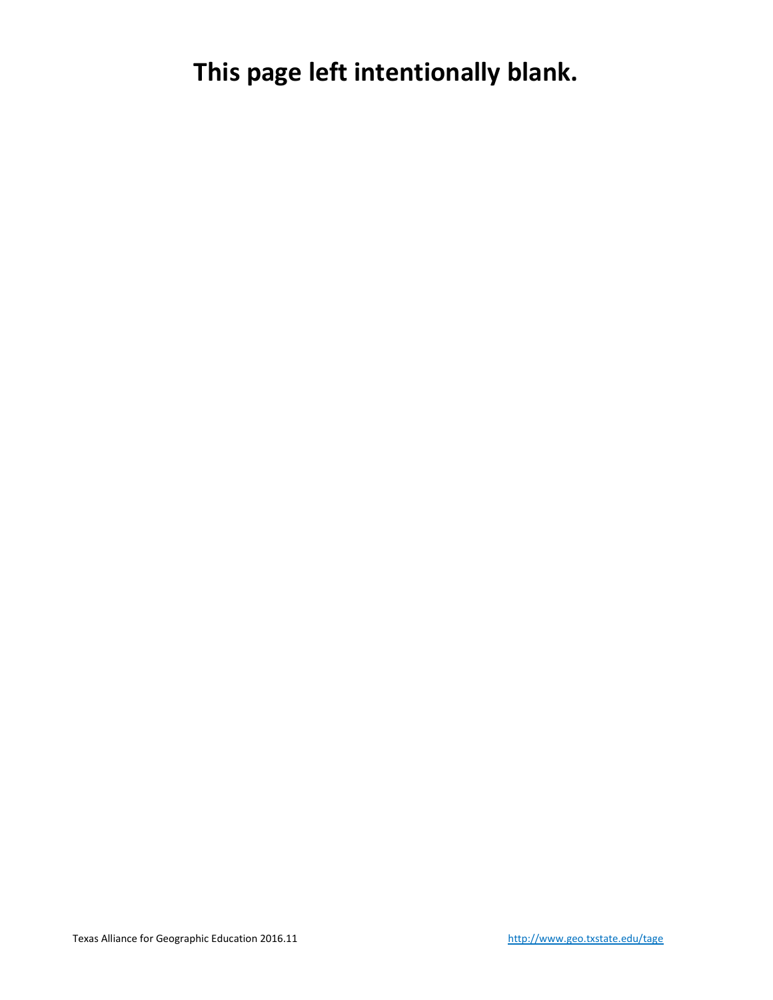**This page left intentionally blank.**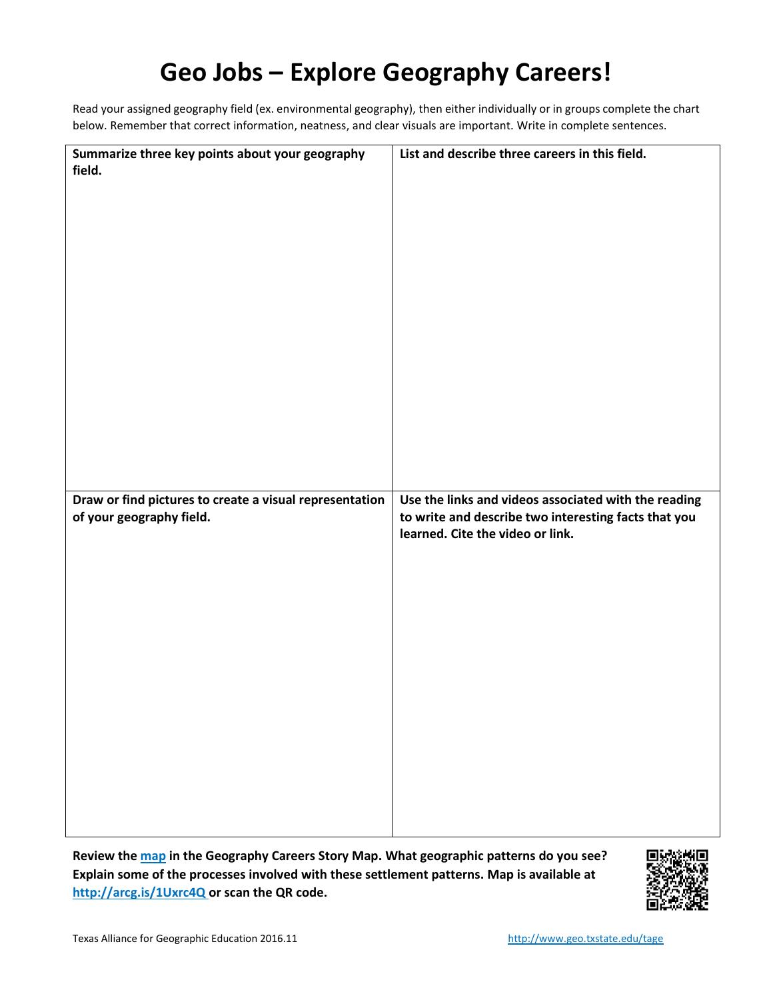## **Geo Jobs – Explore Geography Careers!**

Read your assigned geography field (ex. environmental geography), then either individually or in groups complete the chart below. Remember that correct information, neatness, and clear visuals are important. Write in complete sentences.

| Summarize three key points about your geography         | List and describe three careers in this field.       |
|---------------------------------------------------------|------------------------------------------------------|
| field.                                                  |                                                      |
|                                                         |                                                      |
|                                                         |                                                      |
|                                                         |                                                      |
|                                                         |                                                      |
|                                                         |                                                      |
|                                                         |                                                      |
|                                                         |                                                      |
|                                                         |                                                      |
|                                                         |                                                      |
|                                                         |                                                      |
|                                                         |                                                      |
|                                                         |                                                      |
|                                                         |                                                      |
|                                                         |                                                      |
|                                                         |                                                      |
|                                                         |                                                      |
|                                                         |                                                      |
|                                                         |                                                      |
|                                                         |                                                      |
|                                                         |                                                      |
|                                                         |                                                      |
|                                                         |                                                      |
|                                                         |                                                      |
|                                                         |                                                      |
|                                                         |                                                      |
|                                                         |                                                      |
|                                                         |                                                      |
|                                                         |                                                      |
| Draw or find pictures to create a visual representation | Use the links and videos associated with the reading |
| of your geography field.                                | to write and describe two interesting facts that you |
|                                                         | learned. Cite the video or link.                     |
|                                                         |                                                      |
|                                                         |                                                      |
|                                                         |                                                      |
|                                                         |                                                      |
|                                                         |                                                      |
|                                                         |                                                      |
|                                                         |                                                      |
|                                                         |                                                      |
|                                                         |                                                      |
|                                                         |                                                      |
|                                                         |                                                      |
|                                                         |                                                      |
|                                                         |                                                      |
|                                                         |                                                      |
|                                                         |                                                      |
|                                                         |                                                      |
|                                                         |                                                      |
|                                                         |                                                      |
|                                                         |                                                      |
|                                                         |                                                      |
|                                                         |                                                      |
|                                                         |                                                      |
|                                                         |                                                      |
|                                                         |                                                      |

**Review the [map](https://tage.maps.arcgis.com/apps/MapSeries/index.html?appid=8b3c2b06cafd4997a735655ea96cb0d6) in the Geography Careers Story Map. What geographic patterns do you see? Explain some of the processes involved with these settlement patterns. Map is available at <http://arcg.is/1Uxrc4Q> or scan the QR code.**

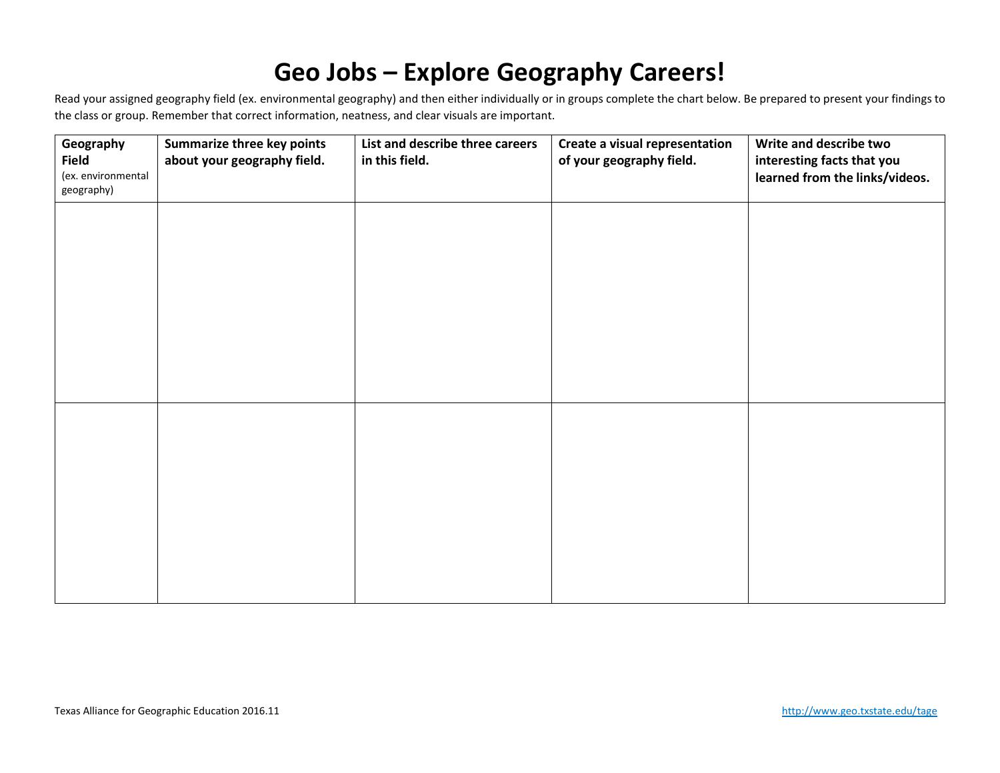# **Geo Jobs – Explore Geography Careers!**

Read your assigned geography field (ex. environmental geography) and then either individually or in groups complete the chart below. Be prepared to present your findings to the class or group. Remember that correct information, neatness, and clear visuals are important.

| Geography<br><b>Field</b><br>(ex. environmental<br>geography) | Summarize three key points<br>about your geography field. | List and describe three careers<br>in this field. | Create a visual representation<br>of your geography field. | Write and describe two<br>interesting facts that you<br>learned from the links/videos. |
|---------------------------------------------------------------|-----------------------------------------------------------|---------------------------------------------------|------------------------------------------------------------|----------------------------------------------------------------------------------------|
|                                                               |                                                           |                                                   |                                                            |                                                                                        |
|                                                               |                                                           |                                                   |                                                            |                                                                                        |
|                                                               |                                                           |                                                   |                                                            |                                                                                        |
|                                                               |                                                           |                                                   |                                                            |                                                                                        |
|                                                               |                                                           |                                                   |                                                            |                                                                                        |
|                                                               |                                                           |                                                   |                                                            |                                                                                        |